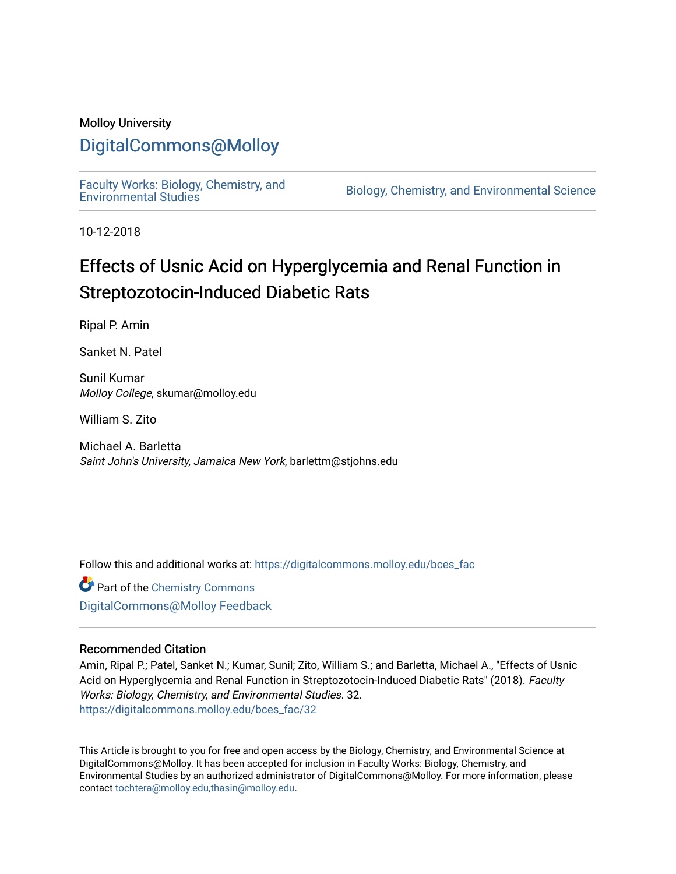# Molloy University

# [DigitalCommons@Molloy](https://digitalcommons.molloy.edu/)

[Faculty Works: Biology, Chemistry, and](https://digitalcommons.molloy.edu/bces_fac) 

Biology, Chemistry, and Environmental Science

10-12-2018

# Effects of Usnic Acid on Hyperglycemia and Renal Function in Streptozotocin-Induced Diabetic Rats

Ripal P. Amin

Sanket N. Patel

Sunil Kumar Molloy College, skumar@molloy.edu

William S. Zito

Michael A. Barletta Saint John's University, Jamaica New York, barlettm@stjohns.edu

Follow this and additional works at: [https://digitalcommons.molloy.edu/bces\\_fac](https://digitalcommons.molloy.edu/bces_fac?utm_source=digitalcommons.molloy.edu%2Fbces_fac%2F32&utm_medium=PDF&utm_campaign=PDFCoverPages)

**Part of the Chemistry Commons** [DigitalCommons@Molloy Feedback](https://molloy.libwizard.com/f/dcfeedback)

### Recommended Citation

Amin, Ripal P.; Patel, Sanket N.; Kumar, Sunil; Zito, William S.; and Barletta, Michael A., "Effects of Usnic Acid on Hyperglycemia and Renal Function in Streptozotocin-Induced Diabetic Rats" (2018). Faculty Works: Biology, Chemistry, and Environmental Studies. 32. [https://digitalcommons.molloy.edu/bces\\_fac/32](https://digitalcommons.molloy.edu/bces_fac/32?utm_source=digitalcommons.molloy.edu%2Fbces_fac%2F32&utm_medium=PDF&utm_campaign=PDFCoverPages) 

This Article is brought to you for free and open access by the Biology, Chemistry, and Environmental Science at DigitalCommons@Molloy. It has been accepted for inclusion in Faculty Works: Biology, Chemistry, and Environmental Studies by an authorized administrator of DigitalCommons@Molloy. For more information, please contact [tochtera@molloy.edu,thasin@molloy.edu.](mailto:tochtera@molloy.edu,thasin@molloy.edu)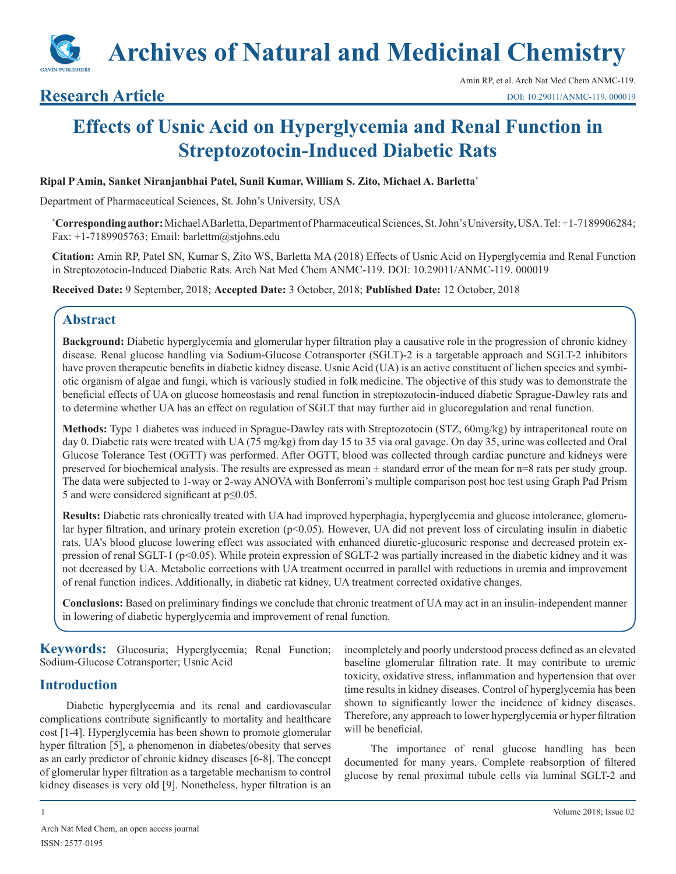

# **Research Article**

# **Effects of Usnic Acid on Hyperglycemia and Renal Function in Streptozotocin-Induced Diabetic Rats**

#### **Ripal P Amin, Sanket Niranjanbhai Patel, Sunil Kumar, William S. Zito, Michael A. Barletta\***

Department of Pharmaceutical Sciences, St. John's University, USA

**\* Corresponding author:** Michael A Barletta, Department of Pharmaceutical Sciences, St. John's University, USA. Tel: +1-7189906284; Fax: +1-7189905763; Email: barlettm@stjohns.edu

**Citation:** Amin RP, Patel SN, Kumar S, Zito WS, Barletta MA (2018) Effects of Usnic Acid on Hyperglycemia and Renal Function in Streptozotocin-Induced Diabetic Rats. Arch Nat Med Chem ANMC-119. DOI: 10.29011/ANMC-119. 000019

**Received Date:** 9 September, 2018; **Accepted Date:** 3 October, 2018; **Published Date:** 12 October, 2018

### **Abstract**

**Background:** Diabetic hyperglycemia and glomerular hyper filtration play a causative role in the progression of chronic kidney disease. Renal glucose handling via Sodium-Glucose Cotransporter (SGLT)-2 is a targetable approach and SGLT-2 inhibitors have proven therapeutic benefits in diabetic kidney disease. Usnic Acid (UA) is an active constituent of lichen species and symbiotic organism of algae and fungi, which is variously studied in folk medicine. The objective of this study was to demonstrate the beneficial effects of UA on glucose homeostasis and renal function in streptozotocin-induced diabetic Sprague-Dawley rats and to determine whether UA has an effect on regulation of SGLT that may further aid in glucoregulation and renal function.

**Methods:** Type 1 diabetes was induced in Sprague-Dawley rats with Streptozotocin (STZ, 60mg/kg) by intraperitoneal route on day 0. Diabetic rats were treated with UA (75 mg/kg) from day 15 to 35 via oral gavage. On day 35, urine was collected and Oral Glucose Tolerance Test (OGTT) was performed. After OGTT, blood was collected through cardiac puncture and kidneys were preserved for biochemical analysis. The results are expressed as mean ± standard error of the mean for n=8 rats per study group. The data were subjected to 1-way or 2-way ANOVA with Bonferroni's multiple comparison post hoc test using Graph Pad Prism 5 and were considered significant at p≤0.05.

**Results:** Diabetic rats chronically treated with UA had improved hyperphagia, hyperglycemia and glucose intolerance, glomerular hyper filtration, and urinary protein excretion (p<0.05). However, UA did not prevent loss of circulating insulin in diabetic rats. UA's blood glucose lowering effect was associated with enhanced diuretic-glucosuric response and decreased protein expression of renal SGLT-1 (p<0.05). While protein expression of SGLT-2 was partially increased in the diabetic kidney and it was not decreased by UA. Metabolic corrections with UA treatment occurred in parallel with reductions in uremia and improvement of renal function indices. Additionally, in diabetic rat kidney, UA treatment corrected oxidative changes.

**Conclusions:** Based on preliminary findings we conclude that chronic treatment of UA may act in an insulin-independent manner in lowering of diabetic hyperglycemia and improvement of renal function.

**Keywords:** Glucosuria; Hyperglycemia; Renal Function; Sodium-Glucose Cotransporter; Usnic Acid

# **Introduction**

Diabetic hyperglycemia and its renal and cardiovascular complications contribute significantly to mortality and healthcare cost [1-4]. Hyperglycemia has been shown to promote glomerular hyper filtration [5], a phenomenon in diabetes/obesity that serves as an early predictor of chronic kidney diseases [6-8]. The concept of glomerular hyper filtration as a targetable mechanism to control kidney diseases is very old [9]. Nonetheless, hyper filtration is an

incompletely and poorly understood process defined as an elevated baseline glomerular filtration rate. It may contribute to uremic toxicity, oxidative stress, inflammation and hypertension that over time results in kidney diseases. Control of hyperglycemia has been shown to significantly lower the incidence of kidney diseases. Therefore, any approach to lower hyperglycemia or hyper filtration will be beneficial.

The importance of renal glucose handling has been documented for many years. Complete reabsorption of filtered glucose by renal proximal tubule cells via luminal SGLT-2 and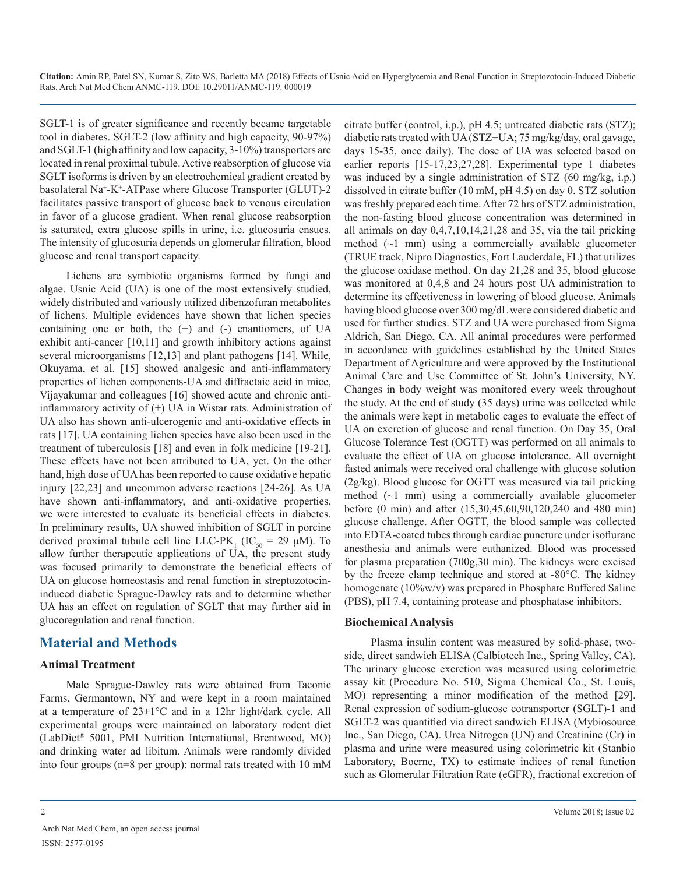SGLT-1 is of greater significance and recently became targetable tool in diabetes. SGLT-2 (low affinity and high capacity, 90-97%) and SGLT-1 (high affinity and low capacity, 3-10%) transporters are located in renal proximal tubule. Active reabsorption of glucose via SGLT isoforms is driven by an electrochemical gradient created by basolateral Na+ -K+ -ATPase where Glucose Transporter (GLUT)-2 facilitates passive transport of glucose back to venous circulation in favor of a glucose gradient. When renal glucose reabsorption is saturated, extra glucose spills in urine, i.e. glucosuria ensues. The intensity of glucosuria depends on glomerular filtration, blood glucose and renal transport capacity.

Lichens are symbiotic organisms formed by fungi and algae. Usnic Acid (UA) is one of the most extensively studied, widely distributed and variously utilized dibenzofuran metabolites of lichens. Multiple evidences have shown that lichen species containing one or both, the (+) and (-) enantiomers, of UA exhibit anti-cancer [10,11] and growth inhibitory actions against several microorganisms [12,13] and plant pathogens [14]. While, Okuyama, et al. [15] showed analgesic and anti-inflammatory properties of lichen components-UA and diffractaic acid in mice, Vijayakumar and colleagues [16] showed acute and chronic antiinflammatory activity of (+) UA in Wistar rats. Administration of UA also has shown anti-ulcerogenic and anti-oxidative effects in rats [17]. UA containing lichen species have also been used in the treatment of tuberculosis [18] and even in folk medicine [19-21]. These effects have not been attributed to UA, yet. On the other hand, high dose of UA has been reported to cause oxidative hepatic injury [22,23] and uncommon adverse reactions [24-26]. As UA have shown anti-inflammatory, and anti-oxidative properties, we were interested to evaluate its beneficial effects in diabetes. In preliminary results, UA showed inhibition of SGLT in porcine derived proximal tubule cell line LLC-PK<sub>1</sub> (IC<sub>50</sub> = 29  $\mu$ M). To allow further therapeutic applications of UA, the present study was focused primarily to demonstrate the beneficial effects of UA on glucose homeostasis and renal function in streptozotocininduced diabetic Sprague-Dawley rats and to determine whether UA has an effect on regulation of SGLT that may further aid in glucoregulation and renal function.

# **Material and Methods**

#### **Animal Treatment**

Male Sprague-Dawley rats were obtained from Taconic Farms, Germantown, NY and were kept in a room maintained at a temperature of  $23\pm1$ °C and in a 12hr light/dark cycle. All experimental groups were maintained on laboratory rodent diet (LabDiet® 5001, PMI Nutrition International, Brentwood, MO) and drinking water ad libitum. Animals were randomly divided into four groups (n=8 per group): normal rats treated with 10 mM citrate buffer (control, i.p.), pH 4.5; untreated diabetic rats (STZ); diabetic rats treated with UA (STZ+UA; 75 mg/kg/day, oral gavage, days 15-35, once daily). The dose of UA was selected based on earlier reports [15-17,23,27,28]. Experimental type 1 diabetes was induced by a single administration of STZ (60 mg/kg, i.p.) dissolved in citrate buffer (10 mM, pH 4.5) on day 0. STZ solution was freshly prepared each time. After 72 hrs of STZ administration, the non-fasting blood glucose concentration was determined in all animals on day 0,4,7,10,14,21,28 and 35, via the tail pricking method  $(\sim 1$  mm) using a commercially available glucometer (TRUE track, Nipro Diagnostics, Fort Lauderdale, FL) that utilizes the glucose oxidase method. On day 21,28 and 35, blood glucose was monitored at 0,4,8 and 24 hours post UA administration to determine its effectiveness in lowering of blood glucose. Animals having blood glucose over 300 mg/dL were considered diabetic and used for further studies. STZ and UA were purchased from Sigma Aldrich, San Diego, CA. All animal procedures were performed in accordance with guidelines established by the United States Department of Agriculture and were approved by the Institutional Animal Care and Use Committee of St. John's University, NY. Changes in body weight was monitored every week throughout the study. At the end of study (35 days) urine was collected while the animals were kept in metabolic cages to evaluate the effect of UA on excretion of glucose and renal function. On Day 35, Oral Glucose Tolerance Test (OGTT) was performed on all animals to evaluate the effect of UA on glucose intolerance. All overnight fasted animals were received oral challenge with glucose solution (2g/kg). Blood glucose for OGTT was measured via tail pricking method  $(\sim 1$  mm) using a commercially available glucometer before (0 min) and after (15,30,45,60,90,120,240 and 480 min) glucose challenge. After OGTT, the blood sample was collected into EDTA-coated tubes through cardiac puncture under isoflurane anesthesia and animals were euthanized. Blood was processed for plasma preparation (700g,30 min). The kidneys were excised by the freeze clamp technique and stored at -80°C. The kidney homogenate (10%w/v) was prepared in Phosphate Buffered Saline (PBS), pH 7.4, containing protease and phosphatase inhibitors.

#### **Biochemical Analysis**

Plasma insulin content was measured by solid-phase, twoside, direct sandwich ELISA (Calbiotech Inc., Spring Valley, CA). The urinary glucose excretion was measured using colorimetric assay kit (Procedure No. 510, Sigma Chemical Co., St. Louis, MO) representing a minor modification of the method [29]. Renal expression of sodium-glucose cotransporter (SGLT)-1 and SGLT-2 was quantified via direct sandwich ELISA (Mybiosource Inc., San Diego, CA). Urea Nitrogen (UN) and Creatinine (Cr) in plasma and urine were measured using colorimetric kit (Stanbio Laboratory, Boerne, TX) to estimate indices of renal function such as Glomerular Filtration Rate (eGFR), fractional excretion of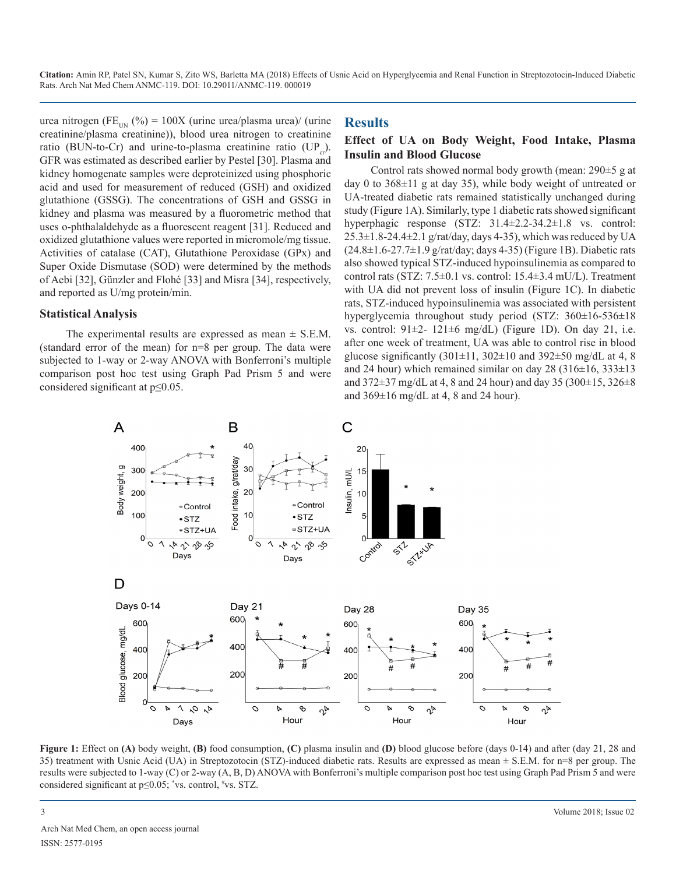urea nitrogen (FE<sub>UN</sub> (%) = 100X (urine urea/plasma urea)/ (urine creatinine/plasma creatinine)), blood urea nitrogen to creatinine ratio (BUN-to-Cr) and urine-to-plasma creatinine ratio (UP<sub>a</sub>). GFR was estimated as described earlier by Pestel [30]. Plasma and kidney homogenate samples were deproteinized using phosphoric acid and used for measurement of reduced (GSH) and oxidized glutathione (GSSG). The concentrations of GSH and GSSG in kidney and plasma was measured by a fluorometric method that uses o-phthalaldehyde as a fluorescent reagent [31]. Reduced and oxidized glutathione values were reported in micromole/mg tissue. Activities of catalase (CAT), Glutathione Peroxidase (GPx) and Super Oxide Dismutase (SOD) were determined by the methods of Aebi [32], Günzler and Flohé [33] and Misra [34], respectively, and reported as U/mg protein/min.

#### **Statistical Analysis**

The experimental results are expressed as mean  $\pm$  S.E.M. (standard error of the mean) for n=8 per group. The data were subjected to 1-way or 2-way ANOVA with Bonferroni's multiple comparison post hoc test using Graph Pad Prism 5 and were considered significant at p≤0.05.

#### **Results**

# **Effect of UA on Body Weight, Food Intake, Plasma Insulin and Blood Glucose**

Control rats showed normal body growth (mean: 290±5 g at day 0 to  $368\pm11$  g at day 35), while body weight of untreated or UA-treated diabetic rats remained statistically unchanged during study (Figure 1A). Similarly, type 1 diabetic rats showed significant hyperphagic response (STZ: 31.4±2.2-34.2±1.8 vs. control:  $25.3\pm1.8-24.4\pm2.1$  g/rat/day, days 4-35), which was reduced by UA  $(24.8\pm1.6-27.7\pm1.9 \text{ g/rat/day};$  days 4-35) (Figure 1B). Diabetic rats also showed typical STZ-induced hypoinsulinemia as compared to control rats (STZ:  $7.5\pm0.1$  vs. control:  $15.4\pm3.4$  mU/L). Treatment with UA did not prevent loss of insulin (Figure 1C). In diabetic rats, STZ-induced hypoinsulinemia was associated with persistent hyperglycemia throughout study period (STZ: 360±16-536±18 vs. control:  $91\pm2$ -  $121\pm6$  mg/dL) (Figure 1D). On day 21, i.e. after one week of treatment, UA was able to control rise in blood glucose significantly  $(301\pm11, 302\pm10)$  and  $392\pm50$  mg/dL at 4, 8 and 24 hour) which remained similar on day 28 (316 $\pm$ 16, 333 $\pm$ 13 and 372±37 mg/dL at 4, 8 and 24 hour) and day 35 (300±15, 326±8 and 369±16 mg/dL at 4, 8 and 24 hour).



**Figure 1:** Effect on **(A)** body weight, **(B)** food consumption, **(C)** plasma insulin and **(D)** blood glucose before (days 0-14) and after (day 21, 28 and 35) treatment with Usnic Acid (UA) in Streptozotocin (STZ)-induced diabetic rats. Results are expressed as mean ± S.E.M. for n=8 per group. The results were subjected to 1-way (C) or 2-way (A, B, D) ANOVA with Bonferroni's multiple comparison post hoc test using Graph Pad Prism 5 and were considered significant at p≤0.05; \* vs. control, # vs. STZ.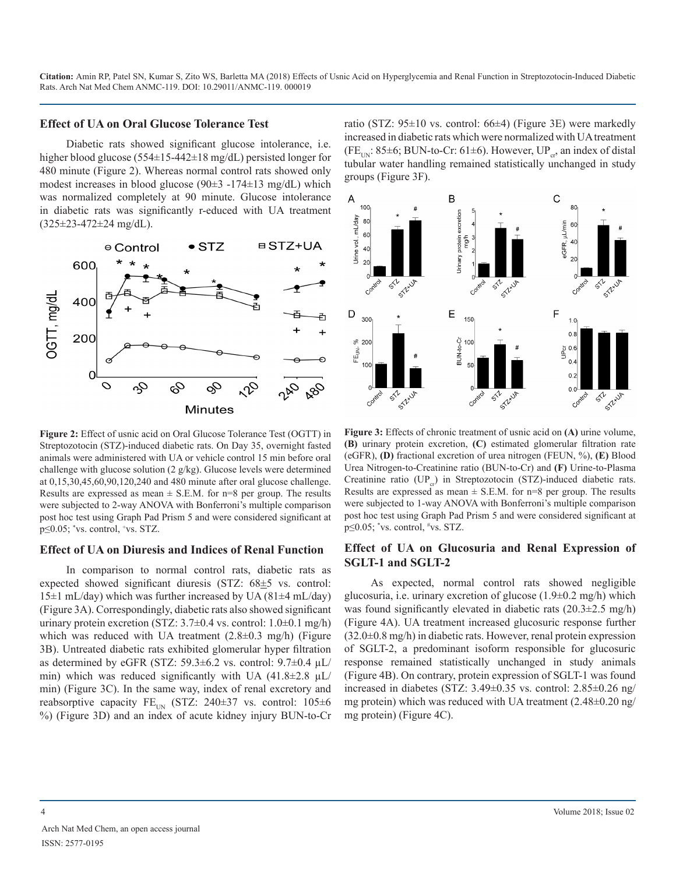#### **Effect of UA on Oral Glucose Tolerance Test**

Diabetic rats showed significant glucose intolerance, i.e. higher blood glucose (554±15-442±18 mg/dL) persisted longer for 480 minute (Figure 2). Whereas normal control rats showed only modest increases in blood glucose (90±3 -174±13 mg/dL) which was normalized completely at 90 minute. Glucose intolerance in diabetic rats was significantly r-educed with UA treatment (325±23-472±24 mg/dL).



**Figure 2:** Effect of usnic acid on Oral Glucose Tolerance Test (OGTT) in Streptozotocin (STZ)-induced diabetic rats. On Day 35, overnight fasted animals were administered with UA or vehicle control 15 min before oral challenge with glucose solution (2 g/kg). Glucose levels were determined at 0,15,30,45,60,90,120,240 and 480 minute after oral glucose challenge. Results are expressed as mean  $\pm$  S.E.M. for n=8 per group. The results were subjected to 2-way ANOVA with Bonferroni's multiple comparison post hoc test using Graph Pad Prism 5 and were considered significant at p≤0.05; \*vs. control, <sup>+</sup>vs. STZ.

#### **Effect of UA on Diuresis and Indices of Renal Function**

In comparison to normal control rats, diabetic rats as expected showed significant diuresis (STZ: 68±5 vs. control:  $15\pm1$  mL/day) which was further increased by UA (81 $\pm4$  mL/day) (Figure 3A). Correspondingly, diabetic rats also showed significant urinary protein excretion (STZ:  $3.7\pm0.4$  vs. control:  $1.0\pm0.1$  mg/h) which was reduced with UA treatment (2.8±0.3 mg/h) (Figure 3B). Untreated diabetic rats exhibited glomerular hyper filtration as determined by eGFR (STZ: 59.3 $\pm$ 6.2 vs. control: 9.7 $\pm$ 0.4 µL/ min) which was reduced significantly with UA  $(41.8\pm2.8 \text{ }\mu\text{L})$ min) (Figure 3C). In the same way, index of renal excretory and reabsorptive capacity FE<sub>UN</sub> (STZ: 240±37 vs. control: 105±6 %) (Figure 3D) and an index of acute kidney injury BUN-to-Cr ratio (STZ: 95±10 vs. control: 66±4) (Figure 3E) were markedly increased in diabetic rats which were normalized with UA treatment (FE<sub>UN</sub>: 85±6; BUN-to-Cr: 61±6). However, UP<sub>cr</sub>, an index of distal tubular water handling remained statistically unchanged in study groups (Figure 3F).



**Figure 3:** Effects of chronic treatment of usnic acid on **(A)** urine volume, **(B)** urinary protein excretion, **(C)** estimated glomerular filtration rate (eGFR), **(D)** fractional excretion of urea nitrogen (FEUN, %), **(E)** Blood Urea Nitrogen-to-Creatinine ratio (BUN-to-Cr) and **(F)** Urine-to-Plasma Creatinine ratio (UP<sub>cr</sub>) in Streptozotocin (STZ)-induced diabetic rats. Results are expressed as mean  $\pm$  S.E.M. for n=8 per group. The results were subjected to 1-way ANOVA with Bonferroni's multiple comparison post hoc test using Graph Pad Prism 5 and were considered significant at p≤0.05; \*vs. control, <sup>#</sup>vs. STZ.

#### **Effect of UA on Glucosuria and Renal Expression of SGLT-1 and SGLT-2**

As expected, normal control rats showed negligible glucosuria, i.e. urinary excretion of glucose (1.9±0.2 mg/h) which was found significantly elevated in diabetic rats (20.3±2.5 mg/h) (Figure 4A). UA treatment increased glucosuric response further  $(32.0\pm0.8 \text{ mg/h})$  in diabetic rats. However, renal protein expression of SGLT-2, a predominant isoform responsible for glucosuric response remained statistically unchanged in study animals (Figure 4B). On contrary, protein expression of SGLT-1 was found increased in diabetes (STZ: 3.49±0.35 vs. control: 2.85±0.26 ng/ mg protein) which was reduced with UA treatment (2.48±0.20 ng/ mg protein) (Figure 4C).

Arch Nat Med Chem, an open access journal ISSN: 2577-0195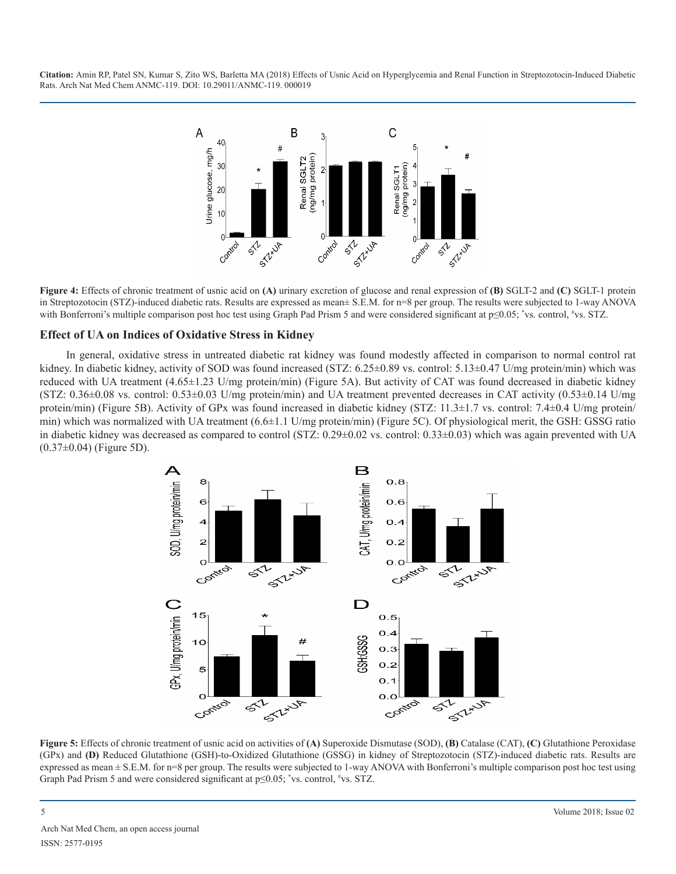

**Figure 4:** Effects of chronic treatment of usnic acid on **(A)** urinary excretion of glucose and renal expression of **(B)** SGLT-2 and **(C)** SGLT-1 protein in Streptozotocin (STZ)-induced diabetic rats. Results are expressed as mean± S.E.M. for n=8 per group. The results were subjected to 1-way ANOVA with Bonferroni's multiple comparison post hoc test using Graph Pad Prism 5 and were considered significant at p≤0.05; \*vs. control, #vs. STZ.

#### **Effect of UA on Indices of Oxidative Stress in Kidney**

In general, oxidative stress in untreated diabetic rat kidney was found modestly affected in comparison to normal control rat kidney. In diabetic kidney, activity of SOD was found increased (STZ: 6.25±0.89 vs. control: 5.13±0.47 U/mg protein/min) which was reduced with UA treatment (4.65±1.23 U/mg protein/min) (Figure 5A). But activity of CAT was found decreased in diabetic kidney (STZ:  $0.36\pm0.08$  vs. control:  $0.53\pm0.03$  U/mg protein/min) and UA treatment prevented decreases in CAT activity  $(0.53\pm0.14$  U/mg protein/min) (Figure 5B). Activity of GPx was found increased in diabetic kidney (STZ: 11.3±1.7 vs. control: 7.4±0.4 U/mg protein/ min) which was normalized with UA treatment  $(6.6\pm1.1 \text{ U/mg protein/min})$  (Figure 5C). Of physiological merit, the GSH: GSSG ratio in diabetic kidney was decreased as compared to control (STZ: 0.29±0.02 vs. control: 0.33±0.03) which was again prevented with UA (0.37±0.04) (Figure 5D).



**Figure 5:** Effects of chronic treatment of usnic acid on activities of **(A)** Superoxide Dismutase (SOD), **(B)** Catalase (CAT), **(C)** Glutathione Peroxidase (GPx) and **(D)** Reduced Glutathione (GSH)-to-Oxidized Glutathione (GSSG) in kidney of Streptozotocin (STZ)-induced diabetic rats. Results are expressed as mean ± S.E.M. for n=8 per group. The results were subjected to 1-way ANOVA with Bonferroni's multiple comparison post hoc test using Graph Pad Prism 5 and were considered significant at  $p \le 0.05$ ; \*vs. control, #vs. STZ.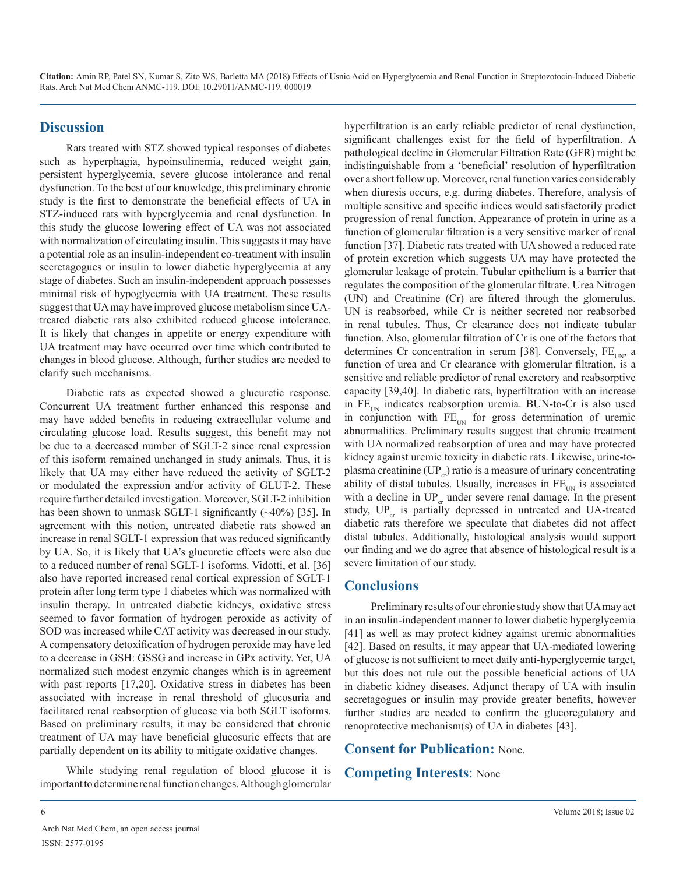# **Discussion**

Rats treated with STZ showed typical responses of diabetes such as hyperphagia, hypoinsulinemia, reduced weight gain, persistent hyperglycemia, severe glucose intolerance and renal dysfunction. To the best of our knowledge, this preliminary chronic study is the first to demonstrate the beneficial effects of UA in STZ-induced rats with hyperglycemia and renal dysfunction. In this study the glucose lowering effect of UA was not associated with normalization of circulating insulin. This suggests it may have a potential role as an insulin-independent co-treatment with insulin secretagogues or insulin to lower diabetic hyperglycemia at any stage of diabetes. Such an insulin-independent approach possesses minimal risk of hypoglycemia with UA treatment. These results suggest that UA may have improved glucose metabolism since UAtreated diabetic rats also exhibited reduced glucose intolerance. It is likely that changes in appetite or energy expenditure with UA treatment may have occurred over time which contributed to changes in blood glucose. Although, further studies are needed to clarify such mechanisms.

Diabetic rats as expected showed a glucuretic response. Concurrent UA treatment further enhanced this response and may have added benefits in reducing extracellular volume and circulating glucose load. Results suggest, this benefit may not be due to a decreased number of SGLT-2 since renal expression of this isoform remained unchanged in study animals. Thus, it is likely that UA may either have reduced the activity of SGLT-2 or modulated the expression and/or activity of GLUT-2. These require further detailed investigation. Moreover, SGLT-2 inhibition has been shown to unmask SGLT-1 significantly (~40%) [35]. In agreement with this notion, untreated diabetic rats showed an increase in renal SGLT-1 expression that was reduced significantly by UA. So, it is likely that UA's glucuretic effects were also due to a reduced number of renal SGLT-1 isoforms. Vidotti, et al. [36] also have reported increased renal cortical expression of SGLT-1 protein after long term type 1 diabetes which was normalized with insulin therapy. In untreated diabetic kidneys, oxidative stress seemed to favor formation of hydrogen peroxide as activity of SOD was increased while CAT activity was decreased in our study. A compensatory detoxification of hydrogen peroxide may have led to a decrease in GSH: GSSG and increase in GPx activity. Yet, UA normalized such modest enzymic changes which is in agreement with past reports [17,20]. Oxidative stress in diabetes has been associated with increase in renal threshold of glucosuria and facilitated renal reabsorption of glucose via both SGLT isoforms. Based on preliminary results, it may be considered that chronic treatment of UA may have beneficial glucosuric effects that are partially dependent on its ability to mitigate oxidative changes.

While studying renal regulation of blood glucose it is important to determine renal function changes. Although glomerular hyperfiltration is an early reliable predictor of renal dysfunction, significant challenges exist for the field of hyperfiltration. A pathological decline in Glomerular Filtration Rate (GFR) might be indistinguishable from a 'beneficial' resolution of hyperfiltration over a short follow up. Moreover, renal function varies considerably when diuresis occurs, e.g. during diabetes. Therefore, analysis of multiple sensitive and specific indices would satisfactorily predict progression of renal function. Appearance of protein in urine as a function of glomerular filtration is a very sensitive marker of renal function [37]. Diabetic rats treated with UA showed a reduced rate of protein excretion which suggests UA may have protected the glomerular leakage of protein. Tubular epithelium is a barrier that regulates the composition of the glomerular filtrate. Urea Nitrogen (UN) and Creatinine (Cr) are filtered through the glomerulus. UN is reabsorbed, while Cr is neither secreted nor reabsorbed in renal tubules. Thus, Cr clearance does not indicate tubular function. Also, glomerular filtration of Cr is one of the factors that determines Cr concentration in serum [38]. Conversely,  $FE_{UN}$ , a function of urea and Cr clearance with glomerular filtration, is a sensitive and reliable predictor of renal excretory and reabsorptive capacity [39,40]. In diabetic rats, hyperfiltration with an increase in  $FE_{UN}$  indicates reabsorption uremia. BUN-to-Cr is also used in conjunction with  $FE<sub>UN</sub>$  for gross determination of uremic abnormalities. Preliminary results suggest that chronic treatment with UA normalized reabsorption of urea and may have protected kidney against uremic toxicity in diabetic rats. Likewise, urine-toplasma creatinine  $(\mathrm{UP}_{cr})$  ratio is a measure of urinary concentrating ability of distal tubules. Usually, increases in  $FE<sub>UN</sub>$  is associated with a decline in  $UP_{cr}$  under severe renal damage. In the present study,  $UP_{cr}$  is partially depressed in untreated and UA-treated diabetic rats therefore we speculate that diabetes did not affect distal tubules. Additionally, histological analysis would support our finding and we do agree that absence of histological result is a severe limitation of our study.

# **Conclusions**

Preliminary results of our chronic study show that UA may act in an insulin-independent manner to lower diabetic hyperglycemia [41] as well as may protect kidney against uremic abnormalities [42]. Based on results, it may appear that UA-mediated lowering of glucose is not sufficient to meet daily anti-hyperglycemic target, but this does not rule out the possible beneficial actions of UA in diabetic kidney diseases. Adjunct therapy of UA with insulin secretagogues or insulin may provide greater benefits, however further studies are needed to confirm the glucoregulatory and renoprotective mechanism(s) of UA in diabetes [43].

# **Consent for Publication:** None.

# **Competing Interests**: None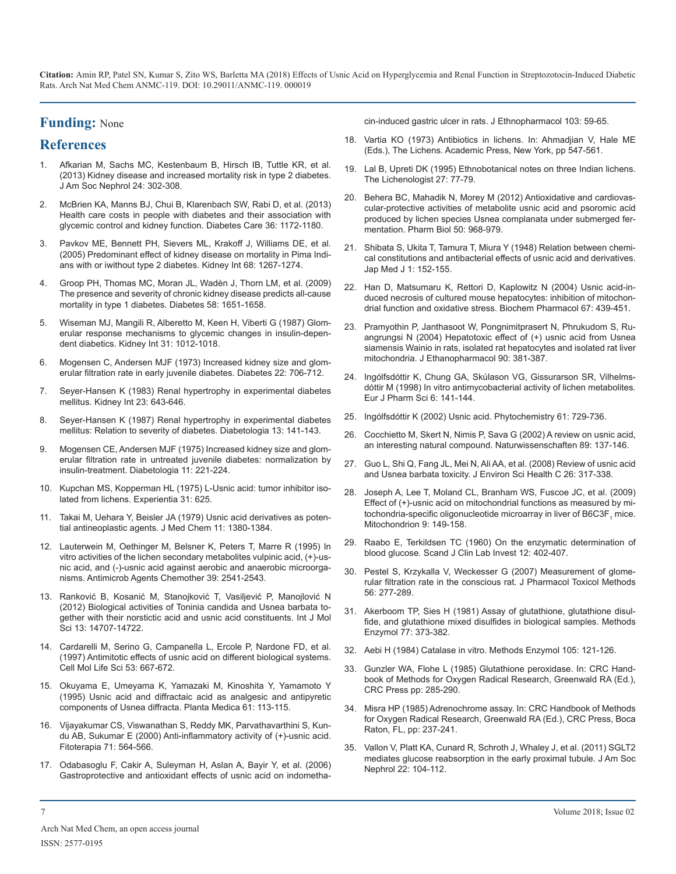# **Funding:** None

# **References**

- 1. [Afkarian M, Sachs MC, Kestenbaum B, Hirsch IB, Tuttle KR, et al.](https://www.ncbi.nlm.nih.gov/pubmed/23362314)  [\(2013\) Kidney disease and increased mortality risk in type 2 diabetes.](https://www.ncbi.nlm.nih.gov/pubmed/23362314) [J Am Soc Nephrol 24: 302-308.](https://www.ncbi.nlm.nih.gov/pubmed/23362314)
- 2. [McBrien KA, Manns BJ, Chui B, Klarenbach SW, Rabi D, et al. \(2013\)](https://www.ncbi.nlm.nih.gov/pubmed/23238665)  [Health care costs in people with diabetes and their association with](https://www.ncbi.nlm.nih.gov/pubmed/23238665)  [glycemic control and kidney function. Diabetes Care 36: 1172-1180.](https://www.ncbi.nlm.nih.gov/pubmed/23238665)
- 3. [Pavkov ME, Bennett PH, Sievers ML, Krakoff J, Williams DE, et al.](https://www.ncbi.nlm.nih.gov/pubmed/16105060)  [\(2005\) Predominant effect of kidney disease on mortality in Pima Indi](https://www.ncbi.nlm.nih.gov/pubmed/16105060)[ans with or iwithout type 2 diabetes. Kidney Int 68: 1267-1274.](https://www.ncbi.nlm.nih.gov/pubmed/16105060)
- 4. [Groop PH, Thomas MC, Moran JL, Wadèn J, Thorn LM, et al. \(2009\)](https://www.ncbi.nlm.nih.gov/pubmed/19401416)  [The presence and severity of chronic kidney disease predicts all-cause](https://www.ncbi.nlm.nih.gov/pubmed/19401416)  [mortality in type 1 diabetes. Diabetes](https://www.ncbi.nlm.nih.gov/pubmed/19401416) 58: 1651-1658.
- 5. [Wiseman MJ, Mangili R, Alberetto M, Keen H, Viberti G \(1987\) Glom](https://www.ncbi.nlm.nih.gov/pubmed/3295358)[erular response mechanisms to glycemic changes in insulin-depen](https://www.ncbi.nlm.nih.gov/pubmed/3295358)[dent diabetics. Kidney Int 31: 1012-1018.](https://www.ncbi.nlm.nih.gov/pubmed/3295358)
- 6. [Mogensen C, Andersen MJF \(1973\) Increased kidney size and glom](http://diabetes.diabetesjournals.org/content/22/9/706)[erular filtration rate in early juvenile diabetes. Diabetes 22: 706-712](http://diabetes.diabetesjournals.org/content/22/9/706).
- 7. [Seyer-Hansen K \(1983\) Renal hypertrophy in experimental diabetes](https://www.ncbi.nlm.nih.gov/pubmed/6571419)  [mellitus. Kidney Int 23: 643-646.](https://www.ncbi.nlm.nih.gov/pubmed/6571419)
- 8. [Seyer-Hansen K \(1987\) Renal hypertrophy in experimental diabetes](https://core.ac.uk/download/pdf/81190245.pdf)  [mellitus: Relation to severity of diabetes. Diabetologia 13: 141-143.](https://core.ac.uk/download/pdf/81190245.pdf)
- 9. [Mogensen CE, Andersen MJF \(1975\) Increased kidney size and glom](https://www.ncbi.nlm.nih.gov/pubmed/1149954)[erular filtration rate in untreated juvenile diabetes: normalization by](https://www.ncbi.nlm.nih.gov/pubmed/1149954)  [insulin-treatment. Diabetologia 11: 221-224.](https://www.ncbi.nlm.nih.gov/pubmed/1149954)
- 10. [Kupchan MS, Kopperman HL \(1975\) L-Usnic acid: tumor inhibitor iso](https://www.ncbi.nlm.nih.gov/pubmed/124660)[lated from lichens. Experientia 31: 625.](https://www.ncbi.nlm.nih.gov/pubmed/124660)
- 11. [Takai M, Uehara Y, Beisler JA \(1979\) Usnic acid derivatives as poten](https://www.ncbi.nlm.nih.gov/pubmed/160461)[tial antineoplastic agents. J Med Chem 11: 1380-1384.](https://www.ncbi.nlm.nih.gov/pubmed/160461)
- 12. [Lauterwein M, Oethinger M, Belsner K, Peters T, Marre R \(1995\) In](https://www.ncbi.nlm.nih.gov/pubmed/8585741)  [vitro activities of the lichen secondary metabolites vulpinic acid, \(+\)-us](https://www.ncbi.nlm.nih.gov/pubmed/8585741)[nic acid, and \(-\)-usnic acid against aerobic and anaerobic microorga](https://www.ncbi.nlm.nih.gov/pubmed/8585741)[nisms. Antimicrob Agents Chemother 39: 2541-2543.](https://www.ncbi.nlm.nih.gov/pubmed/8585741)
- 13. Ranković B, Kosanić M, Stanojković T, Vasiljević P, Manojlović N (2012) Biological activities of Toninia candida and Usnea barbata together with their norstictic acid and usnic acid constituents. Int J Mol Sci 13: 14707-14722.
- 14. [Cardarelli M, Serino G, Campanella L, Ercole P, Nardone FD, et al.](https://www.ncbi.nlm.nih.gov/pubmed/9351470)  [\(1997\) Antimitotic effects of usnic acid on different biological systems.](https://www.ncbi.nlm.nih.gov/pubmed/9351470)  [Cell Mol Life Sci 53: 667-672.](https://www.ncbi.nlm.nih.gov/pubmed/9351470)
- 15. [Okuyama E, Umeyama K, Yamazaki M, Kinoshita Y, Yamamoto Y](https://www.ncbi.nlm.nih.gov/pubmed/7753915)  [\(1995\) Usnic acid and diffractaic acid as analgesic and antipyretic](https://www.ncbi.nlm.nih.gov/pubmed/7753915)  [components of Usnea diffracta. Planta Medica 61: 113-115.](https://www.ncbi.nlm.nih.gov/pubmed/7753915)
- 16. [Vijayakumar CS, Viswanathan S, Reddy MK, Parvathavarthini S, Kun](https://www.ncbi.nlm.nih.gov/pubmed/11449509)[du AB, Sukumar E \(2000\) Anti-inflammatory activity of \(+\)-usnic acid.](https://www.ncbi.nlm.nih.gov/pubmed/11449509) [Fitoterapia 71: 564-566.](https://www.ncbi.nlm.nih.gov/pubmed/11449509)
- 17. [Odabasoglu F, Cakir A, Suleyman H, Aslan A, Bayir Y, et al. \(2006\)](https://www.ncbi.nlm.nih.gov/pubmed/16169175)  [Gastroprotective and antioxidant effects of usnic acid on indometha-](https://www.ncbi.nlm.nih.gov/pubmed/16169175)

[cin-induced gastric ulcer in rats. J Ethnopharmacol 103: 59-65.](https://www.ncbi.nlm.nih.gov/pubmed/16169175)

- 18. [Vartia KO \(1973\) Antibiotics in lichens. In: Ahmadjian V, Hale ME](https://www.sciencedirect.com/science/article/pii/B9780120449507500222) [\(Eds.\), The Lichens. Academic Press, New York, pp 547-561.](https://www.sciencedirect.com/science/article/pii/B9780120449507500222)
- 19. [Lal B, Upreti DK \(1995\) Ethnobotanical notes on three Indian lichens.](https://www.cambridge.org/core/journals/lichenologist/article/ethnobotanical-notes-on-three-indian-lichens/12B23CC5074305E851AA59203FDDCD1D) The Lichenologist 27: 77-79.
- 20. [Behera BC, Mahadik N, Morey M \(2012\) Antioxidative and cardiovas](https://www.ncbi.nlm.nih.gov/pubmed/22775414)[cular-protective activities of metabolite usnic acid and psoromic acid](https://www.ncbi.nlm.nih.gov/pubmed/22775414)  [produced by lichen species Usnea complanata under submerged fer](https://www.ncbi.nlm.nih.gov/pubmed/22775414)[mentation. Pharm Biol 50: 968-979.](https://www.ncbi.nlm.nih.gov/pubmed/22775414)
- 21. [Shibata S, Ukita T, Tamura T, Miura Y \(1948\) Relation between chemi](https://www.ncbi.nlm.nih.gov/pubmed/18883306)[cal constitutions and antibacterial effects of usnic acid and derivatives.](https://www.ncbi.nlm.nih.gov/pubmed/18883306)  [Jap Med J 1: 152-155.](https://www.ncbi.nlm.nih.gov/pubmed/18883306)
- 22. [Han D, Matsumaru K, Rettori D, Kaplowitz N \(2004\) Usnic acid-in](https://www.sciencedirect.com/science/article/abs/pii/S0006295203007688)[duced necrosis of cultured mouse hepatocytes: inhibition of mitochon](https://www.sciencedirect.com/science/article/abs/pii/S0006295203007688)[drial function and oxidative stress. Biochem Pharmacol 67: 439-451.](https://www.sciencedirect.com/science/article/abs/pii/S0006295203007688)
- 23. [Pramyothin P, Janthasoot W, Pongnimitprasert N, Phrukudom S, Ru](https://www.ncbi.nlm.nih.gov/pubmed/15013205)[angrungsi N \(2004\) Hepatotoxic effect of \(+\) usnic acid from Usnea](https://www.ncbi.nlm.nih.gov/pubmed/15013205)  [siamensis Wainio in rats, isolated rat hepatocytes and isolated rat liver](https://www.ncbi.nlm.nih.gov/pubmed/15013205)  [mitochondria. J Ethanopharmacol 90: 381-387.](https://www.ncbi.nlm.nih.gov/pubmed/15013205)
- 24. [Ingólfsdóttir K, Chung GA, Skúlason VG, Gissurarson SR, Vilhelms](https://www.ncbi.nlm.nih.gov/pubmed/9795033)[dóttir M \(1998\) In vitro antimycobacterial activity of lichen metabolites](https://www.ncbi.nlm.nih.gov/pubmed/9795033)*.*  [Eur J Pharm Sci 6: 141-144.](https://www.ncbi.nlm.nih.gov/pubmed/9795033)
- 25. [Ingólfsdóttir K \(2002\) Usnic acid. Phytochemistry 61: 729-736.](https://www.ncbi.nlm.nih.gov/pubmed/12453567)
- 26. [Cocchietto M, Skert N, Nimis P, Sava G \(2002\) A review on usnic acid,](https://www.ncbi.nlm.nih.gov/pubmed/12061397)  [an interesting natural compound. Naturwissenschaften 89: 137-146.](https://www.ncbi.nlm.nih.gov/pubmed/12061397)
- 27. [Guo L, Shi Q, Fang JL, Mei N, Ali AA, et al. \(2008\) Review of usnic acid](https://www.ncbi.nlm.nih.gov/pmc/articles/PMC5739313/)  [and Usnea barbata toxicity. J Environ Sci Health C 26: 317-338.](https://www.ncbi.nlm.nih.gov/pmc/articles/PMC5739313/)
- 28. [Joseph A, Lee T, Moland CL, Branham WS, Fuscoe JC, et al. \(2009\)](https://www.ncbi.nlm.nih.gov/pubmed/19460291)  [Effect of \(+\)-usnic acid on mitochondrial functions as measured by mi](https://www.ncbi.nlm.nih.gov/pubmed/19460291)[tochondria-specific oligonucleotide microarray in liver of B6C3F](https://www.ncbi.nlm.nih.gov/pubmed/19460291)<sub>1</sub> mice. [Mitochondrion 9: 149-158.](https://www.ncbi.nlm.nih.gov/pubmed/19460291)
- 29. [Raabo E, Terkildsen TC \(1960\) On the enzymatic determination of](https://www.ncbi.nlm.nih.gov/pubmed/13738785) [blood glucose. Scand J Clin Lab Invest 12: 402-407.](https://www.ncbi.nlm.nih.gov/pubmed/13738785)
- 30. [Pestel S, Krzykalla V, Weckesser G \(2007\) Measurement of glome](https://www.ncbi.nlm.nih.gov/pubmed/17582786)rular filtration rate in the conscious rat. J Pharmacol Toxicol Methods [56: 277-289.](https://www.ncbi.nlm.nih.gov/pubmed/17582786)
- 31. [Akerboom TP, Sies H \(1981\) Assay of glutathione, glutathione disul](https://www.sciencedirect.com/science/article/pii/S0076687981770502)[fide, and glutathione mixed disulfides in biological samples. Methods](https://www.sciencedirect.com/science/article/pii/S0076687981770502)  [Enzymol 77: 373-382.](https://www.sciencedirect.com/science/article/pii/S0076687981770502)
- 32. [Aebi H \(1984\) Catalase in vitro. Methods Enzymol 105: 121-126.](https://www.ncbi.nlm.nih.gov/pubmed/6727660)
- 33. Gunzler WA, Flohe L (1985) Glutathione peroxidase. In: CRC Handbook of Methods for Oxygen Radical Research, Greenwald RA (Ed.), CRC Press pp: 285-290.
- 34. Misra HP (1985) Adrenochrome assay. In: CRC Handbook of Methods for Oxygen Radical Research, Greenwald RA (Ed.), CRC Press, Boca Raton, FL, pp: 237-241.
- 35. [Vallon V, Platt KA, Cunard R, Schroth J, Whaley J, et al. \(2011\) SGLT2](https://www.ncbi.nlm.nih.gov/pubmed/20616166)  [mediates glucose reabsorption in the early proximal tubule. J Am Soc](https://www.ncbi.nlm.nih.gov/pubmed/20616166)  [Nephrol 22: 104-112.](https://www.ncbi.nlm.nih.gov/pubmed/20616166)